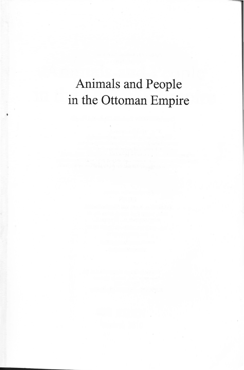## Animals and People in the Ottoman Empire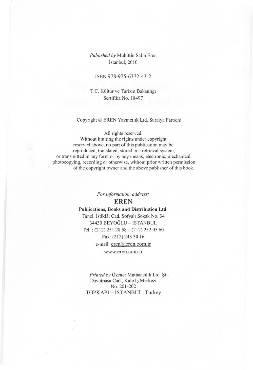#### *Published by* Muhittin Salih Eren İstanbul, 2010

#### ISBN 978-975-6372-43-2

T.C. Kültür ve Turizm Bakanlığı Sertifika No. 18497

#### Copyright © EREN Yaymc1hk Ltd, Suraiya Faroqhi

#### All rights reserved.

Without limiting the rights under copyright reserved above, no part of this publication may be reproduced, translated, stored in a retrieval system, or transmitted in any form or by any means, electronic, mechanical, photocopying, recording or otherwise, without prior written pennission of the copyright owner and the above publisher of this book.

*For information, address:* 

#### **EREN**

#### **Publications, Books and Distribution Ltd.**  Tünel, İstiklâl Cad. Sofyalı Sokak No. 34 34430 BEYOGLU - iSTANBUL Tel.:  $(212)$  251 28 58 -  $(212)$  252 05 60

Fax: (212) 243 30 16

e-mail: eren@eren.com.tr

www.eren.com.tr

Printed by Özener Matbaacılık Ltd. Şti. Davutpasa Cad., Kale Is Merkezi No. 201-202 TOPKAPI - iSTANBUL, Turkey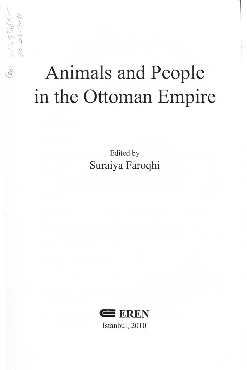# Animals and People in the Ottoman Empire

 $01149346\times1020.2011$ 

 $\circledR$ 

Edited by Suraiya Faroqhi

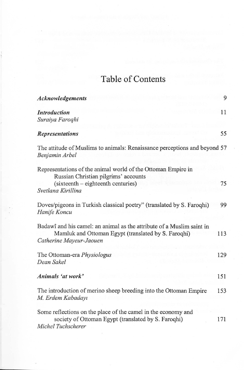### Table of Contents

| Acknowledgements                                                                                                                                        | 9   |
|---------------------------------------------------------------------------------------------------------------------------------------------------------|-----|
| <b>Introduction</b><br>Suraiya Faroqhi                                                                                                                  | 11  |
| <b>Representations</b>                                                                                                                                  | 55  |
| The attitude of Muslims to animals: Renaissance perceptions and beyond 57<br>Benjamin Arbel                                                             |     |
| Representations of the animal world of the Ottoman Empire in<br>Russian Christian pilgrims' accounts                                                    |     |
| (sixteenth – eighteenth centuries)<br>Svetlana Kirillina                                                                                                | 75  |
| Doves/pigeons in Turkish classical poetry" (translated by S. Faroqhi)<br>Hanife Koncu                                                                   | 99  |
| Badawî and his camel: an animal as the attribute of a Muslim saint in<br>Mamluk and Ottoman Egypt (translated by S. Faroqhi)<br>Catherine Mayeur-Jaouen | 113 |
| The Ottoman-era Physiologus<br>Dean Sakel                                                                                                               | 129 |
| Animals 'at work'                                                                                                                                       | 151 |
| The introduction of merino sheep breeding into the Ottoman Empire<br>M. Erdem Kabadayı                                                                  | 153 |
| Some reflections on the place of the camel in the economy and<br>society of Ottoman Egypt (translated by S. Faroqhi)<br>Michel Tuchscherer              | 171 |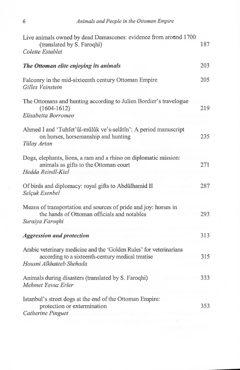| Live animals owned by dead Damascenes: evidence from around 1700<br>(translated by S. Faroqhi)<br>Colette Establet                                   | 187 |
|------------------------------------------------------------------------------------------------------------------------------------------------------|-----|
| The Ottoman elite enjoying its animals                                                                                                               | 203 |
| Falconry in the mid-sixteenth century Ottoman Empire<br>Gilles Veinstein                                                                             | 205 |
| The Ottomans and hunting according to Julien Bordier's travelogue<br>$(1604 - 1612)$<br>Elisabetta Borromeo                                          | 219 |
| Ahmed I and 'Tuhfet'ül-mülûk ve's-selâtîn': A period manuscript<br>on horses, horsemanship and hunting<br>Tülay Artan                                | 235 |
| Dogs, elephants, lions, a ram and a rhino on diplomatic mission:<br>animals as gifts to the Ottoman court<br>Hedda Reindl-Kiel                       | 271 |
| Of birds and diplomacy: royal gifts to Abdülhamid II<br>Selçuk Esenbel                                                                               | 287 |
| Means of transportation and sources of pride and joy: horses in<br>the hands of Ottoman officials and notables<br>Suraiya Faroqhi                    | 293 |
| <b>Aggression and protection</b>                                                                                                                     | 313 |
| Arabic veterinary medicine and the 'Golden Rules' for veterinarians<br>according to a sixteenth-century medical treatise<br>Housni Alkhateeb Shehada | 315 |
| Animals during disasters (translated by S. Faroqhi)<br>Mehmet Yavuz Erler                                                                            | 333 |
| Istanbul's street dogs at the end of the Ottoman Empire:<br>protection or extermination<br>Catherine Pinguet                                         | 353 |